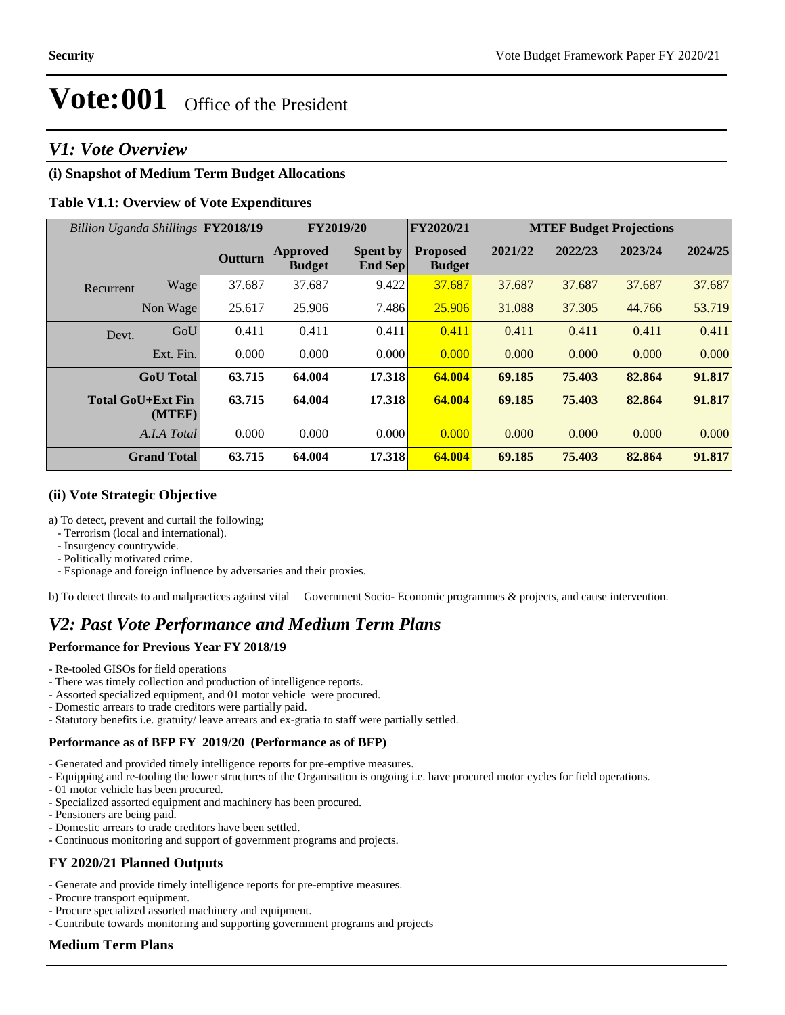# *V1: Vote Overview*

# **(i) Snapshot of Medium Term Budget Allocations**

### **Table V1.1: Overview of Vote Expenditures**

| Billion Uganda Shillings FY2018/19 |                    |                | FY2019/20                        |                                   | FY2020/21                        | <b>MTEF Budget Projections</b> |         |         |         |  |
|------------------------------------|--------------------|----------------|----------------------------------|-----------------------------------|----------------------------------|--------------------------------|---------|---------|---------|--|
|                                    |                    | <b>Outturn</b> | <b>Approved</b><br><b>Budget</b> | <b>Spent by</b><br><b>End Sep</b> | <b>Proposed</b><br><b>Budget</b> | 2021/22                        | 2022/23 | 2023/24 | 2024/25 |  |
| Recurrent                          | Wage               | 37.687         | 37.687                           | 9.422                             | 37.687                           | 37.687                         | 37.687  | 37.687  | 37.687  |  |
| Non Wage                           |                    | 25.617         | 25.906                           | 7.486                             | 25.906                           | 31.088                         | 37.305  | 44.766  | 53.719  |  |
| Devt.                              | GoU                | 0.411          | 0.411                            | 0.411                             | 0.411                            | 0.411                          | 0.411   | 0.411   | 0.411   |  |
|                                    | Ext. Fin.          | 0.000          | 0.000                            | 0.000                             | 0.000                            | 0.000                          | 0.000   | 0.000   | 0.000   |  |
|                                    | <b>GoU</b> Total   | 63.715         | 64.004                           | 17.318                            | 64.004                           | 69.185                         | 75.403  | 82.864  | 91.817  |  |
| <b>Total GoU+Ext Fin</b>           | (MTEF)             | 63.715         | 64.004                           | 17.318                            | 64.004                           | 69.185                         | 75.403  | 82.864  | 91.817  |  |
|                                    | A.I.A Total        | 0.000          | 0.000                            | 0.000                             | 0.000                            | 0.000                          | 0.000   | 0.000   | 0.000   |  |
|                                    | <b>Grand Total</b> | 63.715         | 64.004                           | 17.318                            | 64.004                           | 69.185                         | 75.403  | 82.864  | 91.817  |  |

#### **(ii) Vote Strategic Objective**

a) To detect, prevent and curtail the following;

- Terrorism (local and international).
- Insurgency countrywide.
- Politically motivated crime.
- Espionage and foreign influence by adversaries and their proxies.

b) To detect threats to and malpractices against vital Government Socio- Economic programmes & projects, and cause intervention.

# *V2: Past Vote Performance and Medium Term Plans*

#### **Performance for Previous Year FY 2018/19**

- Re-tooled GISOs for field operations
- There was timely collection and production of intelligence reports.
- Assorted specialized equipment, and 01 motor vehicle were procured.
- Domestic arrears to trade creditors were partially paid.
- Statutory benefits i.e. gratuity/ leave arrears and ex-gratia to staff were partially settled.

#### **Performance as of BFP FY 2019/20 (Performance as of BFP)**

- Generated and provided timely intelligence reports for pre-emptive measures.
- Equipping and re-tooling the lower structures of the Organisation is ongoing i.e. have procured motor cycles for field operations.
- 01 motor vehicle has been procured.
- Specialized assorted equipment and machinery has been procured.
- Pensioners are being paid.
- Domestic arrears to trade creditors have been settled.
- Continuous monitoring and support of government programs and projects.

## **FY 2020/21 Planned Outputs**

- Generate and provide timely intelligence reports for pre-emptive measures.
- Procure transport equipment.
- Procure specialized assorted machinery and equipment.
- Contribute towards monitoring and supporting government programs and projects

## **Medium Term Plans**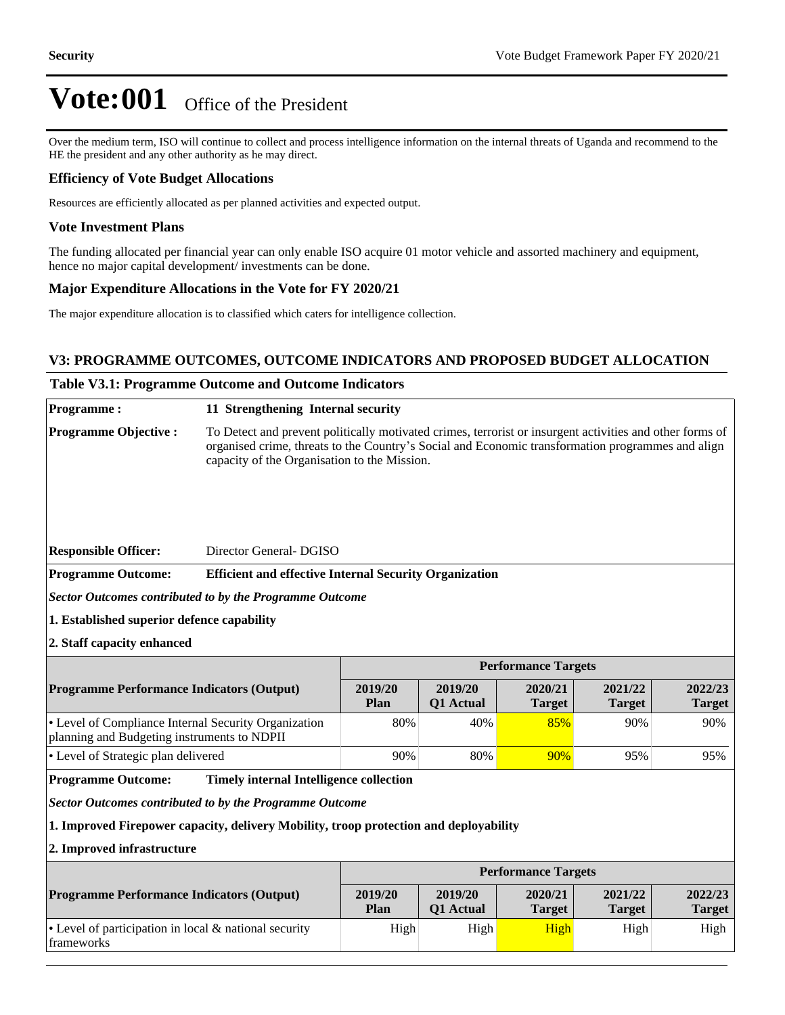Over the medium term, ISO will continue to collect and process intelligence information on the internal threats of Uganda and recommend to the HE the president and any other authority as he may direct.

#### **Efficiency of Vote Budget Allocations**

Resources are efficiently allocated as per planned activities and expected output.

#### **Vote Investment Plans**

The funding allocated per financial year can only enable ISO acquire 01 motor vehicle and assorted machinery and equipment, hence no major capital development/ investments can be done.

#### **Major Expenditure Allocations in the Vote for FY 2020/21**

The major expenditure allocation is to classified which caters for intelligence collection.

#### **V3: PROGRAMME OUTCOMES, OUTCOME INDICATORS AND PROPOSED BUDGET ALLOCATION**

## **Table V3.1: Programme Outcome and Outcome Indicators**

| <b>Programme:</b>                                                                                   | 11 Strengthening Internal security                                                                                                                                                                                                                            |                             |                          |                          |                          |                          |  |  |  |  |
|-----------------------------------------------------------------------------------------------------|---------------------------------------------------------------------------------------------------------------------------------------------------------------------------------------------------------------------------------------------------------------|-----------------------------|--------------------------|--------------------------|--------------------------|--------------------------|--|--|--|--|
| <b>Programme Objective:</b>                                                                         | To Detect and prevent politically motivated crimes, terrorist or insurgent activities and other forms of<br>organised crime, threats to the Country's Social and Economic transformation programmes and align<br>capacity of the Organisation to the Mission. |                             |                          |                          |                          |                          |  |  |  |  |
| <b>Responsible Officer:</b>                                                                         | Director General-DGISO                                                                                                                                                                                                                                        |                             |                          |                          |                          |                          |  |  |  |  |
| <b>Programme Outcome:</b>                                                                           | <b>Efficient and effective Internal Security Organization</b>                                                                                                                                                                                                 |                             |                          |                          |                          |                          |  |  |  |  |
| Sector Outcomes contributed to by the Programme Outcome                                             |                                                                                                                                                                                                                                                               |                             |                          |                          |                          |                          |  |  |  |  |
| 1. Established superior defence capability                                                          |                                                                                                                                                                                                                                                               |                             |                          |                          |                          |                          |  |  |  |  |
|                                                                                                     | 2. Staff capacity enhanced                                                                                                                                                                                                                                    |                             |                          |                          |                          |                          |  |  |  |  |
|                                                                                                     | <b>Performance Targets</b>                                                                                                                                                                                                                                    |                             |                          |                          |                          |                          |  |  |  |  |
| <b>Programme Performance Indicators (Output)</b>                                                    | 2019/20<br>Plan                                                                                                                                                                                                                                               | 2019/20<br><b>Q1</b> Actual | 2020/21<br><b>Target</b> | 2021/22<br><b>Target</b> | 2022/23<br><b>Target</b> |                          |  |  |  |  |
| • Level of Compliance Internal Security Organization<br>planning and Budgeting instruments to NDPII | 80%                                                                                                                                                                                                                                                           | 40%                         | 85%                      | 90%                      | 90%                      |                          |  |  |  |  |
| • Level of Strategic plan delivered                                                                 | 90%                                                                                                                                                                                                                                                           | 80%                         | 90%                      | 95%                      | 95%                      |                          |  |  |  |  |
| <b>Programme Outcome:</b>                                                                           | <b>Timely internal Intelligence collection</b>                                                                                                                                                                                                                |                             |                          |                          |                          |                          |  |  |  |  |
|                                                                                                     | <b>Sector Outcomes contributed to by the Programme Outcome</b>                                                                                                                                                                                                |                             |                          |                          |                          |                          |  |  |  |  |
|                                                                                                     | 1. Improved Firepower capacity, delivery Mobility, troop protection and deployability                                                                                                                                                                         |                             |                          |                          |                          |                          |  |  |  |  |
| 2. Improved infrastructure                                                                          |                                                                                                                                                                                                                                                               |                             |                          |                          |                          |                          |  |  |  |  |
|                                                                                                     |                                                                                                                                                                                                                                                               | <b>Performance Targets</b>  |                          |                          |                          |                          |  |  |  |  |
| <b>Programme Performance Indicators (Output)</b>                                                    |                                                                                                                                                                                                                                                               | 2019/20<br>Plan             | 2019/20<br>Q1 Actual     | 2020/21<br><b>Target</b> | 2021/22<br><b>Target</b> | 2022/23<br><b>Target</b> |  |  |  |  |
| • Level of participation in local & national security<br>frameworks                                 |                                                                                                                                                                                                                                                               | High                        | High                     | High                     | High                     | High                     |  |  |  |  |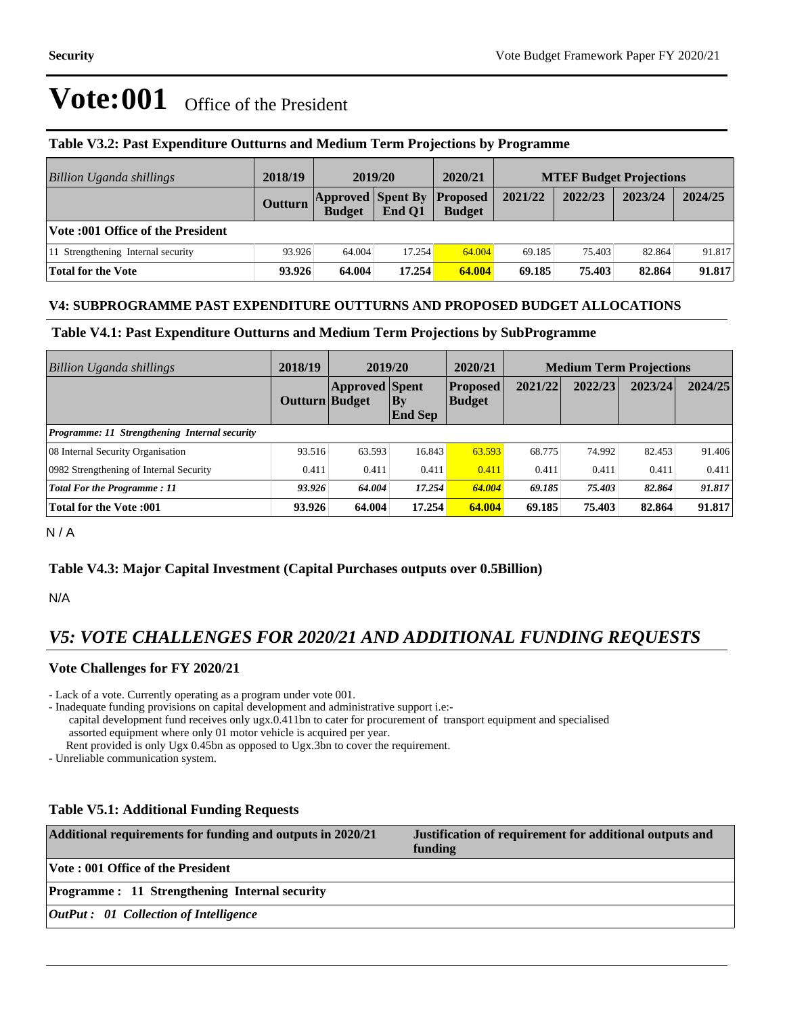| Billion Uganda shillings           | 2018/19 | 2019/20                                   |        | 2020/21                          | <b>MTEF Budget Projections</b> |         |         |         |
|------------------------------------|---------|-------------------------------------------|--------|----------------------------------|--------------------------------|---------|---------|---------|
|                                    | Outturn | <b>Approved Spent By</b><br><b>Budget</b> | End O1 | <b>Proposed</b><br><b>Budget</b> | 2021/22                        | 2022/23 | 2023/24 | 2024/25 |
| Vote :001 Office of the President  |         |                                           |        |                                  |                                |         |         |         |
| 11 Strengthening Internal security | 93.926  | 64.004                                    | 17.254 | 64.004                           | 69.185                         | 75.403  | 82.864  | 91.817  |
| Total for the Vote                 | 93.926  | 64.004                                    | 17.254 | 64.004                           | 69.185                         | 75.403  | 82.864  | 91.817  |

### **Table V3.2: Past Expenditure Outturns and Medium Term Projections by Programme**

### **V4: SUBPROGRAMME PAST EXPENDITURE OUTTURNS AND PROPOSED BUDGET ALLOCATIONS**

#### **Table V4.1: Past Expenditure Outturns and Medium Term Projections by SubProgramme**

| <b>Billion Uganda shillings</b>                      | 2018/19        | 2019/20               |                          | 2020/21                          | <b>Medium Term Projections</b> |         |         |         |
|------------------------------------------------------|----------------|-----------------------|--------------------------|----------------------------------|--------------------------------|---------|---------|---------|
|                                                      | Outturn Budget | <b>Approved Spent</b> | $ $ By<br><b>End Sep</b> | <b>Proposed</b><br><b>Budget</b> | 2021/22                        | 2022/23 | 2023/24 | 2024/25 |
| <b>Programme: 11 Strengthening Internal security</b> |                |                       |                          |                                  |                                |         |         |         |
| 08 Internal Security Organisation                    | 93.516         | 63.593                | 16.843                   | 63.593                           | 68.775                         | 74.992  | 82.453  | 91.406  |
| 0982 Strengthening of Internal Security              | 0.411          | 0.411                 | 0.411                    | 0.411                            | 0.411                          | 0.411   | 0.411   | 0.411   |
| Total For the Programme: 11                          | 93.926         | 64.004                | 17.254                   | 64.004                           | 69.185                         | 75.403  | 82.864  | 91.817  |
| <b>Total for the Vote:001</b>                        | 93.926         | 64.004                | 17.254                   | 64.004                           | 69.185                         | 75.403  | 82.864  | 91.817  |

N / A

## **Table V4.3: Major Capital Investment (Capital Purchases outputs over 0.5Billion)**

N/A

# *V5: VOTE CHALLENGES FOR 2020/21 AND ADDITIONAL FUNDING REQUESTS*

#### **Vote Challenges for FY 2020/21**

- Lack of a vote. Currently operating as a program under vote 001.

- Inadequate funding provisions on capital development and administrative support i.e: capital development fund receives only ugx.0.411bn to cater for procurement of transport equipment and specialised assorted equipment where only 01 motor vehicle is acquired per year.

Rent provided is only Ugx 0.45bn as opposed to Ugx.3bn to cover the requirement.

- Unreliable communication system.

#### **Table V5.1: Additional Funding Requests**

| Additional requirements for funding and outputs in 2020/21 | Justification of requirement for additional outputs and<br>funding |
|------------------------------------------------------------|--------------------------------------------------------------------|
| Vote : 001 Office of the President                         |                                                                    |
| <b>Programme: 11 Strengthening Internal security</b>       |                                                                    |
| <b>OutPut</b> : 01 Collection of Intelligence              |                                                                    |